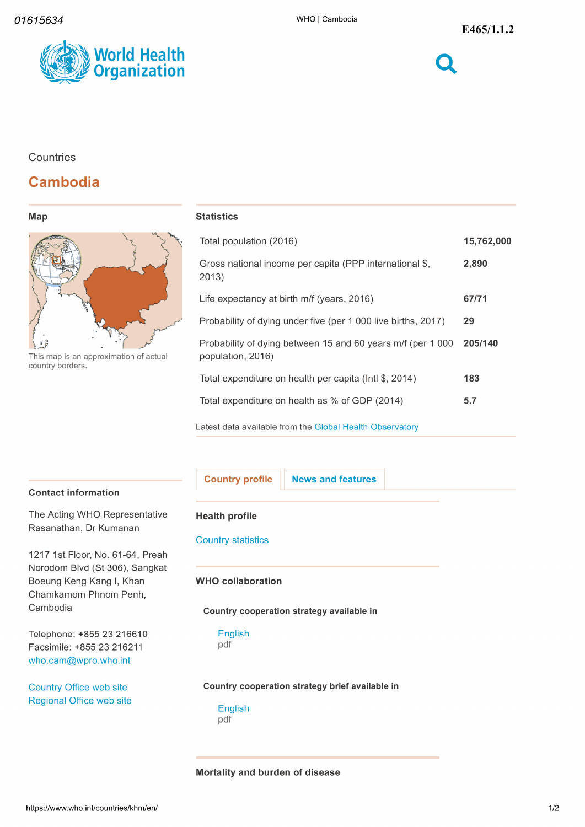

## **Countries**

# **Cambodia**

|  | ×<br>., | ı<br>٠ |
|--|---------|--------|
|--|---------|--------|



This map is an approximation of actual country borders

# **Statistics**

| Total population (2016)                                                          | 15,762,000 |
|----------------------------------------------------------------------------------|------------|
| Gross national income per capita (PPP international \$,<br>2013)                 | 2,890      |
| Life expectancy at birth m/f (years, 2016)                                       | 67/71      |
| Probability of dying under five (per 1 000 live births, 2017)                    | 29         |
| Probability of dying between 15 and 60 years m/f (per 1 000<br>population, 2016) | 205/140    |
| Total expenditure on health per capita (Intl \$, 2014)                           | 183        |
| Total expenditure on health as % of GDP (2014)                                   | 5.7        |
| Latest data available from the Global Health Observatory                         |            |

#### Contact information

The Acting WHO Representative Rasanathan, Dr Kumanan

1217 1st Floor, No. 61-64, Preah Norodom Blvd (St 306), Sangkat Boeung Keng Kang I, Khan Chamkamom Phnom Penh Cambodia

Telephone: +855 23 216610 English Facsimile: +855 23 216211 who.cam@wpro.who.int

Country Office web site Regional Office web site

Country profile | News and features

#### Health profile

Country statistics

#### WHO collaboration

#### Country cooperation strategy available in

pdf

#### Country cooperation strategy brief available in

English pdf

### Mortality and burden of disease